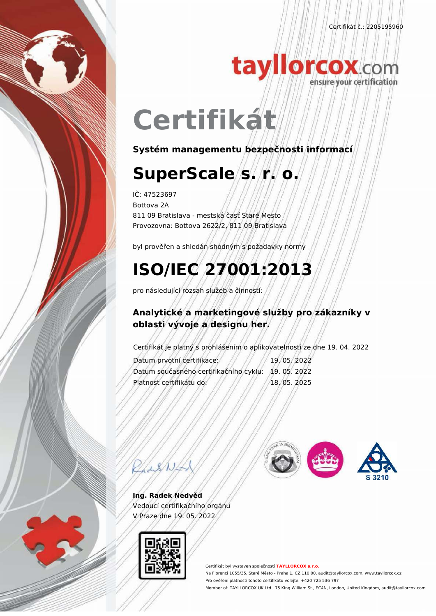Certifikát č.: 2205195960



# tayllorcox.com

## **Certifikát**

**Systém managementu bezpečnosti informací**

## **SuperScale s. r. o.**

IČ: 47523697 Bottova 2A 811 09 Bratislava - mestská časť Staré Mesto Provozovna: Bottova 2622/2, 811 09 Bratislava

byl prověřen a shledán shodným s požadavky normy

### **ISO/IEC 27001:2013**

pro následující rozsah služeb a činností:

#### **Analytické a marketingové služby pro zákazníky v oblasti vývoje a designu her.**

Certifikát je platný s prohlášením o aplikovatelnosti ze dne 19. 04. 2022

Datum prvotní certifikace: // // // 19. 05. 2022 Datum současného certifikačního cyklu: 19. 05. 2022 Platnost certifikátu do: // // // //18.05.2025



**Ing. Radek Nedvěd** Vedoucí certifikačního orgánu V Praze dne 19. 05. 2022



Certifikát byl vystaven společností **TAYLLORCOX s.r.o.** Na Florenci 1055/35, Staré Město - Praha 1, CZ 110 00, audit@tayllorcox.com, www.tayllorcox.cz Pro ověření platnosti tohoto certifikátu volejte: +420 725 536 797 Member of: TAYLLORCOX UK Ltd., 75 King William St., EC4N, London, United Kingdom, audit@tayllorcox.com